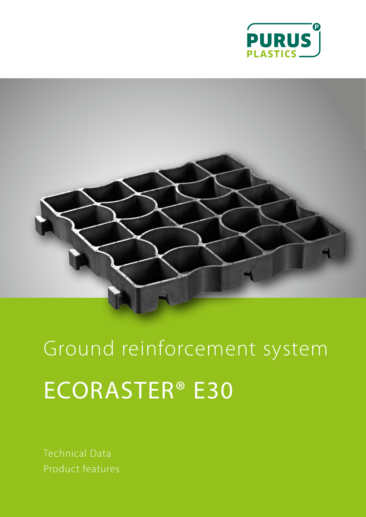



Ground reinforcement system ECORASTER® E30

Technical Data Product features